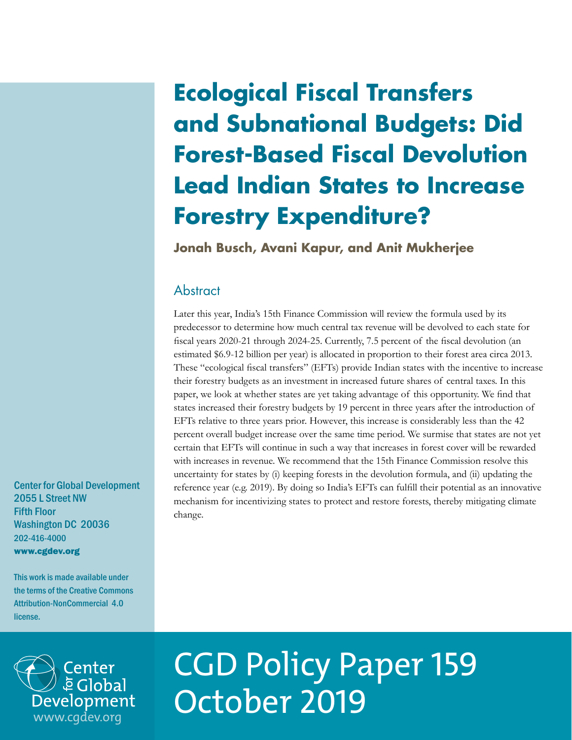# **Ecological Fiscal Transfers and Subnational Budgets: Did Forest-Based Fiscal Devolution Lead Indian States to Increase Forestry Expenditure?**

**Jonah Busch, Avani Kapur, and Anit Mukherjee**

# **Abstract**

Later this year, India's 15th Finance Commission will review the formula used by its predecessor to determine how much central tax revenue will be devolved to each state for fiscal years 2020-21 through 2024-25. Currently, 7.5 percent of the fiscal devolution (an estimated \$6.9-12 billion per year) is allocated in proportion to their forest area circa 2013. These "ecological fiscal transfers" (EFTs) provide Indian states with the incentive to increase their forestry budgets as an investment in increased future shares of central taxes. In this paper, we look at whether states are yet taking advantage of this opportunity. We find that states increased their forestry budgets by 19 percent in three years after the introduction of EFTs relative to three years prior. However, this increase is considerably less than the 42 percent overall budget increase over the same time period. We surmise that states are not yet certain that EFTs will continue in such a way that increases in forest cover will be rewarded with increases in revenue. We recommend that the 15th Finance Commission resolve this uncertainty for states by (i) keeping forests in the devolution formula, and (ii) updating the reference year (e.g. 2019). By doing so India's EFTs can fulfill their potential as an innovative mechanism for incentivizing states to protect and restore forests, thereby mitigating climate change.

Center for Global Development 2055 L Street NW Fifth Floor Washington DC 20036 202-416-4000 www.cgdev.org

This work is made available under the terms of the Creative Commons Attribution-NonCommercial 4.0 license.



# CGD Policy Paper 159 October 2019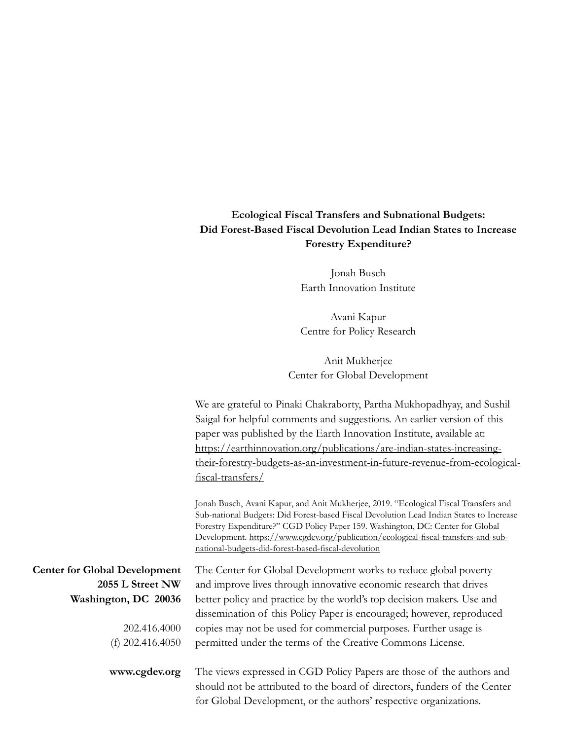## **Ecological Fiscal Transfers and Subnational Budgets: Did Forest-Based Fiscal Devolution Lead Indian States to Increase Forestry Expenditure?**

Jonah Busch Earth Innovation Institute

Avani Kapur Centre for Policy Research

Anit Mukherjee Center for Global Development

We are grateful to Pinaki Chakraborty, Partha Mukhopadhyay, and Sushil Saigal for helpful comments and suggestions. An earlier version of this paper was published by the Earth Innovation Institute, available at: [https://earthinnovation.org/publications/are-indian-states-increasing](https://earthinnovation.org/publications/are-indian-states-increasing-their-forestry-budgets-as-an-investment-in-future-revenue-from-ecological-fiscal-transfers/)[their-forestry-budgets-as-an-investment-in-future-revenue-from-ecological](https://earthinnovation.org/publications/are-indian-states-increasing-their-forestry-budgets-as-an-investment-in-future-revenue-from-ecological-fiscal-transfers/)[fiscal-transfers/](https://earthinnovation.org/publications/are-indian-states-increasing-their-forestry-budgets-as-an-investment-in-future-revenue-from-ecological-fiscal-transfers/)

Jonah Busch, Avani Kapur, and Anit Mukherjee, 2019. "Ecological Fiscal Transfers and Sub-national Budgets: Did Forest-based Fiscal Devolution Lead Indian States to Increase Forestry Expenditure?" CGD Policy Paper 159. Washington, DC: Center for Global Development. [https://www.cgdev.org/publication/ecological-fiscal-transfers-and-sub](https://www.cgdev.org/publication/ecological-fiscal-transfers-and-sub-national-budgets-did-forest-based-fiscal-devolution)[national-budgets-did-forest-based-fiscal-devolution](https://www.cgdev.org/publication/ecological-fiscal-transfers-and-sub-national-budgets-did-forest-based-fiscal-devolution)

| <b>Center for Global Development</b> | The Center for Global Development works to reduce global poverty       |
|--------------------------------------|------------------------------------------------------------------------|
| 2055 L Street NW                     | and improve lives through innovative economic research that drives     |
| Washington, DC 20036                 | better policy and practice by the world's top decision makers. Use and |
|                                      | dissemination of this Policy Paper is encouraged; however, reproduced  |
| 202.416.4000                         | copies may not be used for commercial purposes. Further usage is       |
| (f) $202.416.4050$                   | permitted under the terms of the Creative Commons License.             |
|                                      |                                                                        |
| www.cgdev.org                        | The views expressed in CGD Policy Papers are those of the authors and  |

of the authors and should not be attributed to the board of directors, funders of the Center for Global Development, or the authors' respective organizations.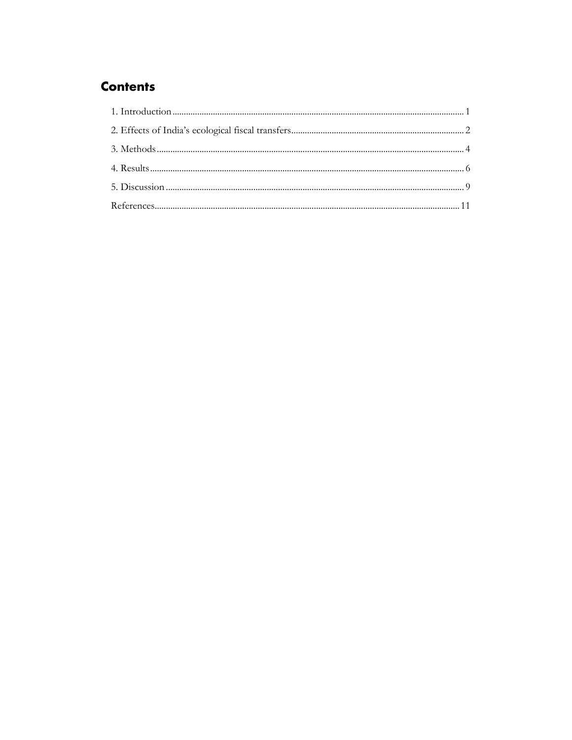# **Contents**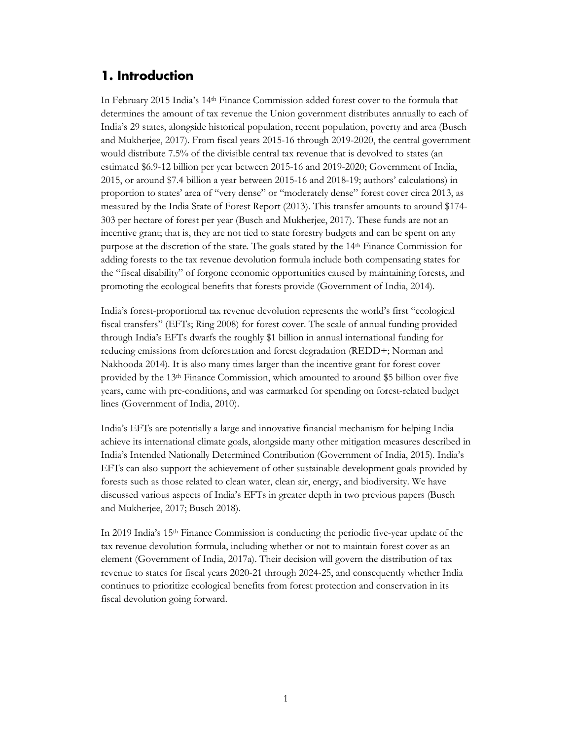# <span id="page-3-0"></span>**1. Introduction**

In February 2015 India's 14<sup>th</sup> Finance Commission added forest cover to the formula that determines the amount of tax revenue the Union government distributes annually to each of India's 29 states, alongside historical population, recent population, poverty and area (Busch and Mukherjee, 2017). From fiscal years 2015-16 through 2019-2020, the central government would distribute 7.5% of the divisible central tax revenue that is devolved to states (an estimated \$6.9-12 billion per year between 2015-16 and 2019-2020; Government of India, 2015, or around \$7.4 billion a year between 2015-16 and 2018-19; authors' calculations) in proportion to states' area of "very dense" or "moderately dense" forest cover circa 2013, as measured by the India State of Forest Report (2013). This transfer amounts to around \$174- 303 per hectare of forest per year (Busch and Mukherjee, 2017). These funds are not an incentive grant; that is, they are not tied to state forestry budgets and can be spent on any purpose at the discretion of the state. The goals stated by the 14th Finance Commission for adding forests to the tax revenue devolution formula include both compensating states for the "fiscal disability" of forgone economic opportunities caused by maintaining forests, and promoting the ecological benefits that forests provide (Government of India, 2014).

India's forest-proportional tax revenue devolution represents the world's first "ecological fiscal transfers" (EFTs; Ring 2008) for forest cover. The scale of annual funding provided through India's EFTs dwarfs the roughly \$1 billion in annual international funding for reducing emissions from deforestation and forest degradation (REDD+; Norman and Nakhooda 2014). It is also many times larger than the incentive grant for forest cover provided by the 13th Finance Commission, which amounted to around \$5 billion over five years, came with pre-conditions, and was earmarked for spending on forest-related budget lines (Government of India, 2010).

India's EFTs are potentially a large and innovative financial mechanism for helping India achieve its international climate goals, alongside many other mitigation measures described in India's Intended Nationally Determined Contribution (Government of India, 2015). India's EFTs can also support the achievement of other sustainable development goals provided by forests such as those related to clean water, clean air, energy, and biodiversity. We have discussed various aspects of India's EFTs in greater depth in two previous papers (Busch and Mukherjee, 2017; Busch 2018).

In 2019 India's 15th Finance Commission is conducting the periodic five-year update of the tax revenue devolution formula, including whether or not to maintain forest cover as an element (Government of India, 2017a). Their decision will govern the distribution of tax revenue to states for fiscal years 2020-21 through 2024-25, and consequently whether India continues to prioritize ecological benefits from forest protection and conservation in its fiscal devolution going forward.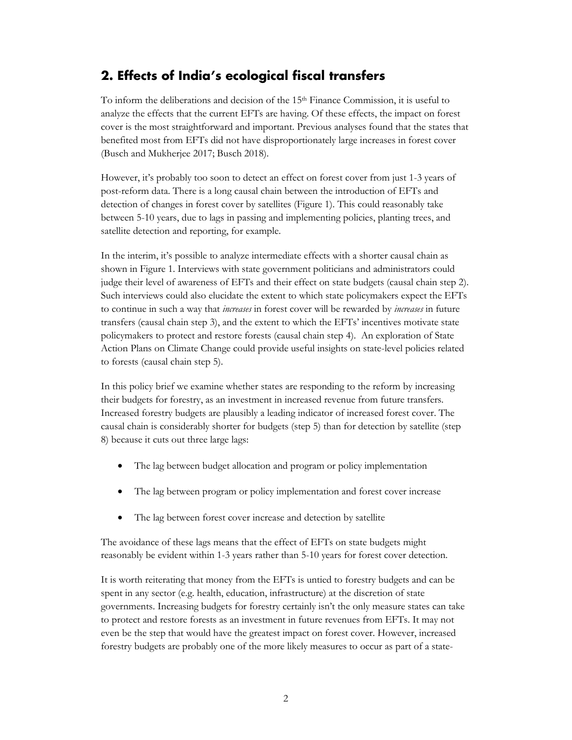# <span id="page-4-0"></span>**2. Effects of India's ecological fiscal transfers**

To inform the deliberations and decision of the 15th Finance Commission, it is useful to analyze the effects that the current EFTs are having. Of these effects, the impact on forest cover is the most straightforward and important. Previous analyses found that the states that benefited most from EFTs did not have disproportionately large increases in forest cover (Busch and Mukherjee 2017; Busch 2018).

However, it's probably too soon to detect an effect on forest cover from just 1-3 years of post-reform data. There is a long causal chain between the introduction of EFTs and detection of changes in forest cover by satellites (Figure 1). This could reasonably take between 5-10 years, due to lags in passing and implementing policies, planting trees, and satellite detection and reporting, for example.

In the interim, it's possible to analyze intermediate effects with a shorter causal chain as shown in Figure 1. Interviews with state government politicians and administrators could judge their level of awareness of EFTs and their effect on state budgets (causal chain step 2). Such interviews could also elucidate the extent to which state policymakers expect the EFTs to continue in such a way that *increases* in forest cover will be rewarded by *increases* in future transfers (causal chain step 3), and the extent to which the EFTs' incentives motivate state policymakers to protect and restore forests (causal chain step 4). An exploration of State Action Plans on Climate Change could provide useful insights on state-level policies related to forests (causal chain step 5).

In this policy brief we examine whether states are responding to the reform by increasing their budgets for forestry, as an investment in increased revenue from future transfers. Increased forestry budgets are plausibly a leading indicator of increased forest cover. The causal chain is considerably shorter for budgets (step 5) than for detection by satellite (step 8) because it cuts out three large lags:

- The lag between budget allocation and program or policy implementation
- The lag between program or policy implementation and forest cover increase
- The lag between forest cover increase and detection by satellite

The avoidance of these lags means that the effect of EFTs on state budgets might reasonably be evident within 1-3 years rather than 5-10 years for forest cover detection.

It is worth reiterating that money from the EFTs is untied to forestry budgets and can be spent in any sector (e.g. health, education, infrastructure) at the discretion of state governments. Increasing budgets for forestry certainly isn't the only measure states can take to protect and restore forests as an investment in future revenues from EFTs. It may not even be the step that would have the greatest impact on forest cover. However, increased forestry budgets are probably one of the more likely measures to occur as part of a state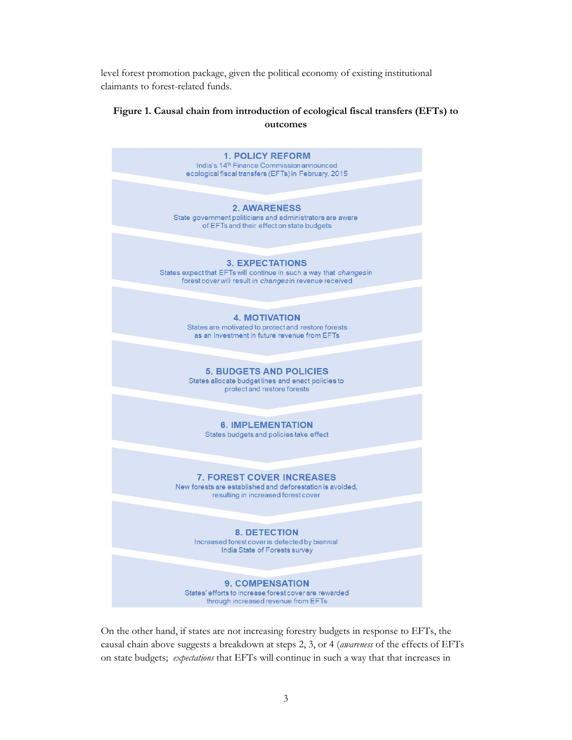level forest promotion package, given the political economy of existing institutional claimants to forest-related funds.

#### **Figure 1. Causal chain from introduction of ecological fiscal transfers (EFTs) to outcomes**



On the other hand, if states are not increasing forestry budgets in response to EFTs, the causal chain above suggests a breakdown at steps 2, 3, or 4 (*awareness* of the effects of EFTs on state budgets; *expectations* that EFTs will continue in such a way that that increases in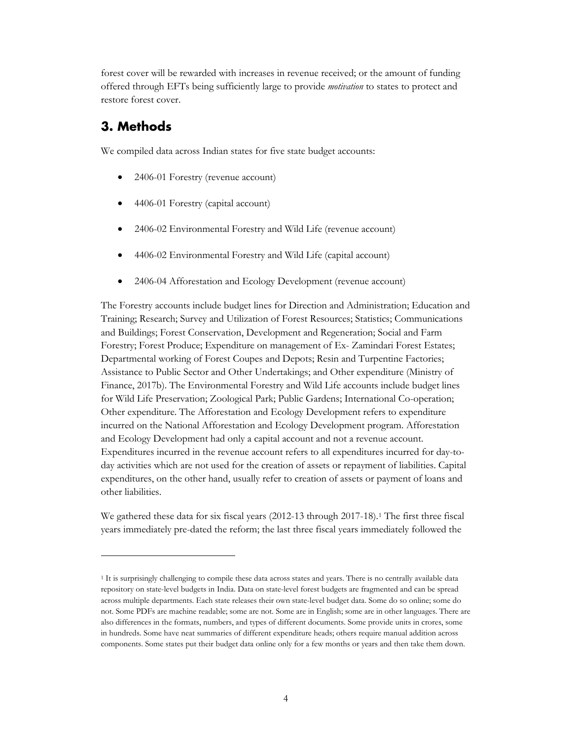forest cover will be rewarded with increases in revenue received; or the amount of funding offered through EFTs being sufficiently large to provide *motivation* to states to protect and restore forest cover.

# <span id="page-6-0"></span>**3. Methods**

We compiled data across Indian states for five state budget accounts:

- 2406-01 Forestry (revenue account)
- 4406-01 Forestry (capital account)
- 2406-02 Environmental Forestry and Wild Life (revenue account)
- 4406-02 Environmental Forestry and Wild Life (capital account)
- 2406-04 Afforestation and Ecology Development (revenue account)

The Forestry accounts include budget lines for Direction and Administration; Education and Training; Research; Survey and Utilization of Forest Resources; Statistics; Communications and Buildings; Forest Conservation, Development and Regeneration; Social and Farm Forestry; Forest Produce; Expenditure on management of Ex- Zamindari Forest Estates; Departmental working of Forest Coupes and Depots; Resin and Turpentine Factories; Assistance to Public Sector and Other Undertakings; and Other expenditure (Ministry of Finance, 2017b). The Environmental Forestry and Wild Life accounts include budget lines for Wild Life Preservation; Zoological Park; Public Gardens; International Co-operation; Other expenditure. The Afforestation and Ecology Development refers to expenditure incurred on the National Afforestation and Ecology Development program. Afforestation and Ecology Development had only a capital account and not a revenue account. Expenditures incurred in the revenue account refers to all expenditures incurred for day-today activities which are not used for the creation of assets or repayment of liabilities. Capital expenditures, on the other hand, usually refer to creation of assets or payment of loans and other liabilities.

We gathered these data for six fiscal years (2012-13 through 2017-18).<sup>1</sup> The first three fiscal years immediately pre-dated the reform; the last three fiscal years immediately followed the

<span id="page-6-1"></span><sup>1</sup> It is surprisingly challenging to compile these data across states and years. There is no centrally available data repository on state-level budgets in India. Data on state-level forest budgets are fragmented and can be spread across multiple departments. Each state releases their own state-level budget data. Some do so online; some do not. Some PDFs are machine readable; some are not. Some are in English; some are in other languages. There are also differences in the formats, numbers, and types of different documents. Some provide units in crores, some in hundreds. Some have neat summaries of different expenditure heads; others require manual addition across components. Some states put their budget data online only for a few months or years and then take them down.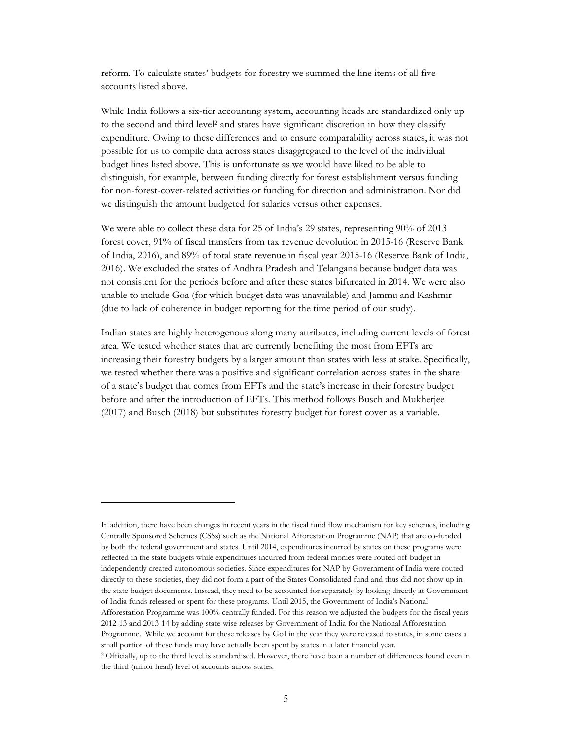reform. To calculate states' budgets for forestry we summed the line items of all five accounts listed above.

While India follows a six-tier accounting system, accounting heads are standardized only up to the second and third level<sup>[2](#page-7-0)</sup> and states have significant discretion in how they classify expenditure. Owing to these differences and to ensure comparability across states, it was not possible for us to compile data across states disaggregated to the level of the individual budget lines listed above. This is unfortunate as we would have liked to be able to distinguish, for example, between funding directly for forest establishment versus funding for non-forest-cover-related activities or funding for direction and administration. Nor did we distinguish the amount budgeted for salaries versus other expenses.

We were able to collect these data for 25 of India's 29 states, representing 90% of 2013 forest cover, 91% of fiscal transfers from tax revenue devolution in 2015-16 (Reserve Bank of India, 2016), and 89% of total state revenue in fiscal year 2015-16 (Reserve Bank of India, 2016). We excluded the states of Andhra Pradesh and Telangana because budget data was not consistent for the periods before and after these states bifurcated in 2014. We were also unable to include Goa (for which budget data was unavailable) and Jammu and Kashmir (due to lack of coherence in budget reporting for the time period of our study).

Indian states are highly heterogenous along many attributes, including current levels of forest area. We tested whether states that are currently benefiting the most from EFTs are increasing their forestry budgets by a larger amount than states with less at stake. Specifically, we tested whether there was a positive and significant correlation across states in the share of a state's budget that comes from EFTs and the state's increase in their forestry budget before and after the introduction of EFTs. This method follows Busch and Mukherjee (2017) and Busch (2018) but substitutes forestry budget for forest cover as a variable.

In addition, there have been changes in recent years in the fiscal fund flow mechanism for key schemes, including Centrally Sponsored Schemes (CSSs) such as the National Afforestation Programme (NAP) that are co-funded by both the federal government and states. Until 2014, expenditures incurred by states on these programs were reflected in the state budgets while expenditures incurred from federal monies were routed off-budget in independently created autonomous societies. Since expenditures for NAP by Government of India were routed directly to these societies, they did not form a part of the States Consolidated fund and thus did not show up in the state budget documents. Instead, they need to be accounted for separately by looking directly at Government of India funds released or spent for these programs. Until 2015, the Government of India's National Afforestation Programme was 100% centrally funded. For this reason we adjusted the budgets for the fiscal years 2012-13 and 2013-14 by adding state-wise releases by Government of India for the National Afforestation Programme. While we account for these releases by GoI in the year they were released to states, in some cases a small portion of these funds may have actually been spent by states in a later financial year. <sup>2</sup> Officially, up to the third level is standardised. However, there have been a number of differences found even in

<span id="page-7-0"></span>the third (minor head) level of accounts across states.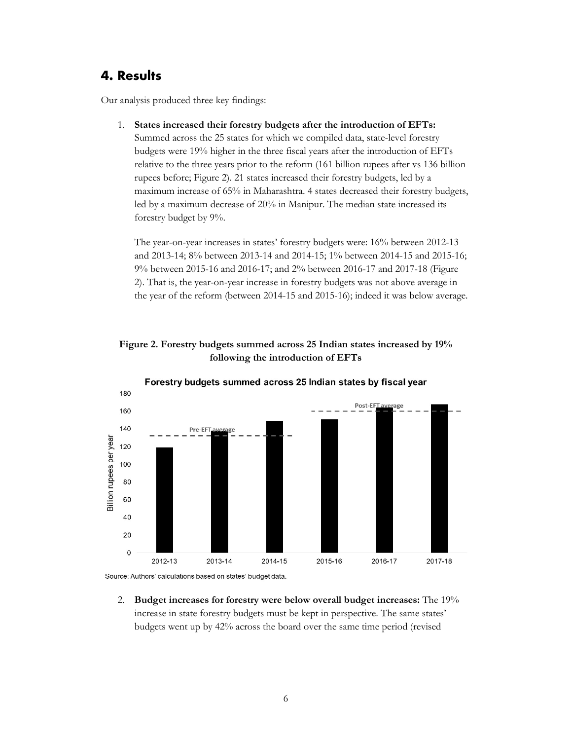#### <span id="page-8-0"></span>**4. Results**

140

Billion rupees per year

Our analysis produced three key findings:

1. **States increased their forestry budgets after the introduction of EFTs:**  Summed across the 25 states for which we compiled data, state-level forestry budgets were 19% higher in the three fiscal years after the introduction of EFTs relative to the three years prior to the reform (161 billion rupees after vs 136 billion rupees before; Figure 2). 21 states increased their forestry budgets, led by a maximum increase of 65% in Maharashtra. 4 states decreased their forestry budgets, led by a maximum decrease of 20% in Manipur. The median state increased its forestry budget by 9%.

The year-on-year increases in states' forestry budgets were: 16% between 2012-13 and 2013-14; 8% between 2013-14 and 2014-15; 1% between 2014-15 and 2015-16; 9% between 2015-16 and 2016-17; and 2% between 2016-17 and 2017-18 (Figure 2). That is, the year-on-year increase in forestry budgets was not above average in the year of the reform (between 2014-15 and 2015-16); indeed it was below average.







2013-14

2012-13

Pre-EFT

2. **Budget increases for forestry were below overall budget increases:** The 19% increase in state forestry budgets must be kept in perspective. The same states' budgets went up by 42% across the board over the same time period (revised

2015-16

2016-17

2014-15

2017-18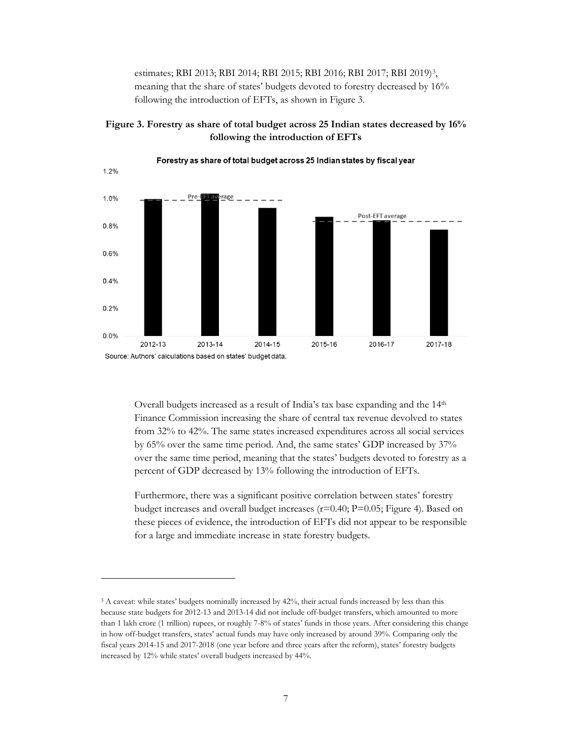estimates; RBI 2013; RBI 2014; RBI 2015; RBI 2016; RBI 2017; RBI 2019)[3](#page-9-0), meaning that the share of states' budgets devoted to forestry decreased by 16% following the introduction of EFTs, as shown in Figure 3.



**Figure 3. Forestry as share of total budget across 25 Indian states decreased by 16% following the introduction of EFTs**

Overall budgets increased as a result of India's tax base expanding and the 14<sup>th</sup> Finance Commission increasing the share of central tax revenue devolved to states from 32% to 42%. The same states increased expenditures across all social services by 65% over the same time period. And, the same states' GDP increased by 37% over the same time period, meaning that the states' budgets devoted to forestry as a percent of GDP decreased by 13% following the introduction of EFTs.

Furthermore, there was a significant positive correlation between states' forestry budget increases and overall budget increases (r=0.40; P=0.05; Figure 4). Based on these pieces of evidence, the introduction of EFTs did not appear to be responsible for a large and immediate increase in state forestry budgets.

<span id="page-9-0"></span><sup>&</sup>lt;sup>3</sup> A caveat: while states' budgets nominally increased by 42%, their actual funds increased by less than this because state budgets for 2012-13 and 2013-14 did not include off-budget transfers, which amounted to more than 1 lakh crore (1 trillion) rupees, or roughly 7-8% of states' funds in those years. After considering this change in how off-budget transfers, states' actual funds may have only increased by around 39%. Comparing only the fiscal years 2014-15 and 2017-2018 (one year before and three years after the reform), states' forestry budgets increased by 12% while states' overall budgets increased by 44%.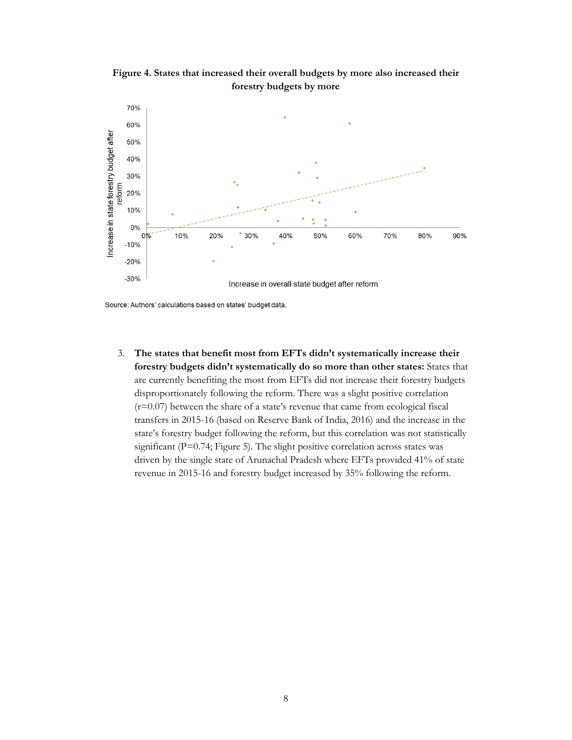**Figure 4. States that increased their overall budgets by more also increased their forestry budgets by more**



Source: Authors' calculations based on states' budget data.

3. **The states that benefit most from EFTs didn't systematically increase their forestry budgets didn't systematically do so more than other states:** States that are currently benefiting the most from EFTs did not increase their forestry budgets disproportionately following the reform. There was a slight positive correlation  $(r=0.07)$  between the share of a state's revenue that came from ecological fiscal transfers in 2015-16 (based on Reserve Bank of India, 2016) and the increase in the state's forestry budget following the reform, but this correlation was not statistically significant (P=0.74; Figure 5). The slight positive correlation across states was driven by the single state of Arunachal Pradesh where EFTs provided 41% of state revenue in 2015-16 and forestry budget increased by 35% following the reform.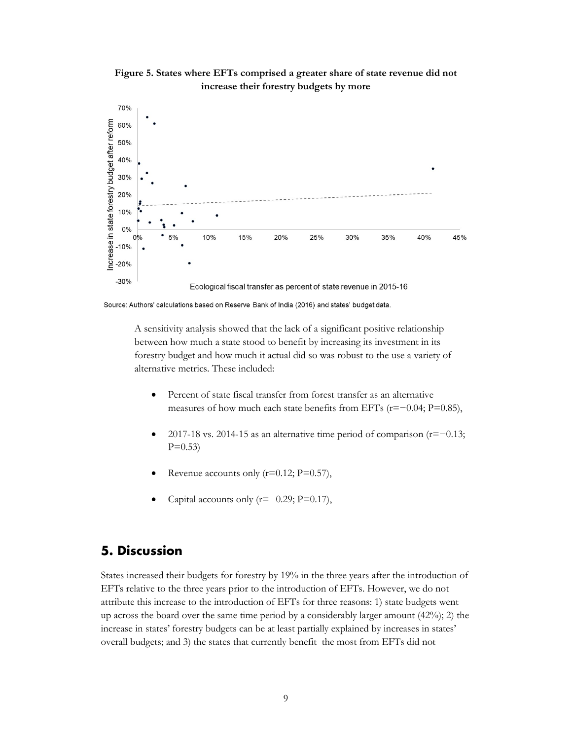

**Figure 5. States where EFTs comprised a greater share of state revenue did not increase their forestry budgets by more**

Source: Authors' calculations based on Reserve Bank of India (2016) and states' budget data.

A sensitivity analysis showed that the lack of a significant positive relationship between how much a state stood to benefit by increasing its investment in its forestry budget and how much it actual did so was robust to the use a variety of alternative metrics. These included:

- Percent of state fiscal transfer from forest transfer as an alternative measures of how much each state benefits from EFTs (r=−0.04; P=0.85),
- 2017-18 vs. 2014-15 as an alternative time period of comparison (r=−0.13;  $P=0.53$
- Revenue accounts only  $(r=0.12; P=0.57)$ ,
- Capital accounts only  $(r=-0.29; P=0.17)$ ,

## <span id="page-11-0"></span>**5. Discussion**

States increased their budgets for forestry by 19% in the three years after the introduction of EFTs relative to the three years prior to the introduction of EFTs. However, we do not attribute this increase to the introduction of EFTs for three reasons: 1) state budgets went up across the board over the same time period by a considerably larger amount  $(42\%)$ ; 2) the increase in states' forestry budgets can be at least partially explained by increases in states' overall budgets; and 3) the states that currently benefit the most from EFTs did not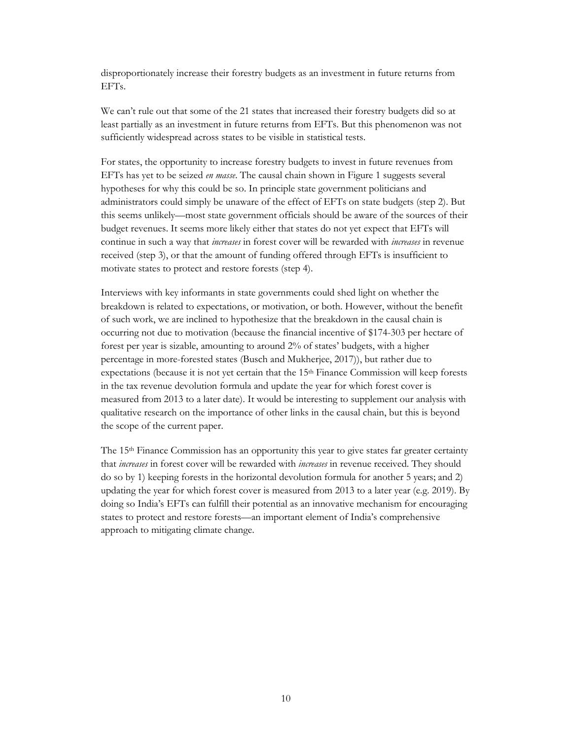disproportionately increase their forestry budgets as an investment in future returns from EFTs.

We can't rule out that some of the 21 states that increased their forestry budgets did so at least partially as an investment in future returns from EFTs. But this phenomenon was not sufficiently widespread across states to be visible in statistical tests.

For states, the opportunity to increase forestry budgets to invest in future revenues from EFTs has yet to be seized *en masse*. The causal chain shown in Figure 1 suggests several hypotheses for why this could be so. In principle state government politicians and administrators could simply be unaware of the effect of EFTs on state budgets (step 2). But this seems unlikely—most state government officials should be aware of the sources of their budget revenues. It seems more likely either that states do not yet expect that EFTs will continue in such a way that *increases* in forest cover will be rewarded with *increases* in revenue received (step 3), or that the amount of funding offered through EFTs is insufficient to motivate states to protect and restore forests (step 4).

Interviews with key informants in state governments could shed light on whether the breakdown is related to expectations, or motivation, or both. However, without the benefit of such work, we are inclined to hypothesize that the breakdown in the causal chain is occurring not due to motivation (because the financial incentive of \$174-303 per hectare of forest per year is sizable, amounting to around 2% of states' budgets, with a higher percentage in more-forested states (Busch and Mukherjee, 2017)), but rather due to expectations (because it is not yet certain that the 15th Finance Commission will keep forests in the tax revenue devolution formula and update the year for which forest cover is measured from 2013 to a later date). It would be interesting to supplement our analysis with qualitative research on the importance of other links in the causal chain, but this is beyond the scope of the current paper.

The 15th Finance Commission has an opportunity this year to give states far greater certainty that *increases* in forest cover will be rewarded with *increases* in revenue received. They should do so by 1) keeping forests in the horizontal devolution formula for another 5 years; and 2) updating the year for which forest cover is measured from 2013 to a later year (e.g. 2019). By doing so India's EFTs can fulfill their potential as an innovative mechanism for encouraging states to protect and restore forests—an important element of India's comprehensive approach to mitigating climate change.